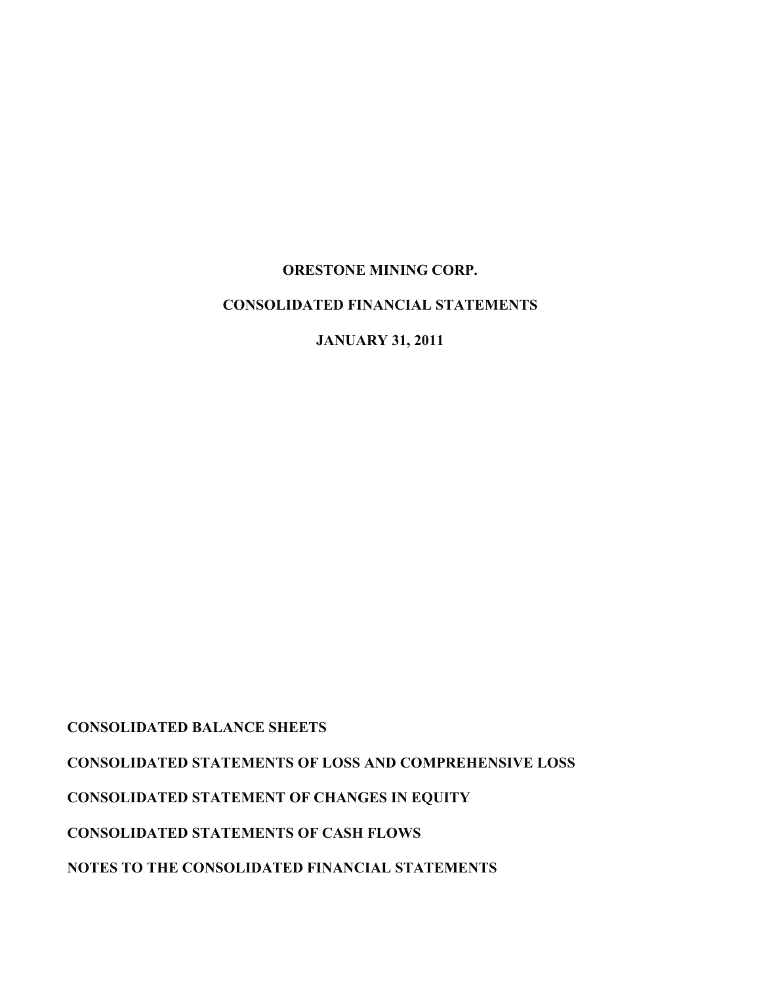# **ORESTONE MINING CORP.**

# **CONSOLIDATED FINANCIAL STATEMENTS**

**JANUARY 31, 2011**

**CONSOLIDATED BALANCE SHEETS**

**CONSOLIDATED STATEMENTS OF LOSS AND COMPREHENSIVE LOSS** 

**CONSOLIDATED STATEMENT OF CHANGES IN EQUITY**

**CONSOLIDATED STATEMENTS OF CASH FLOWS**

**NOTES TO THE CONSOLIDATED FINANCIAL STATEMENTS**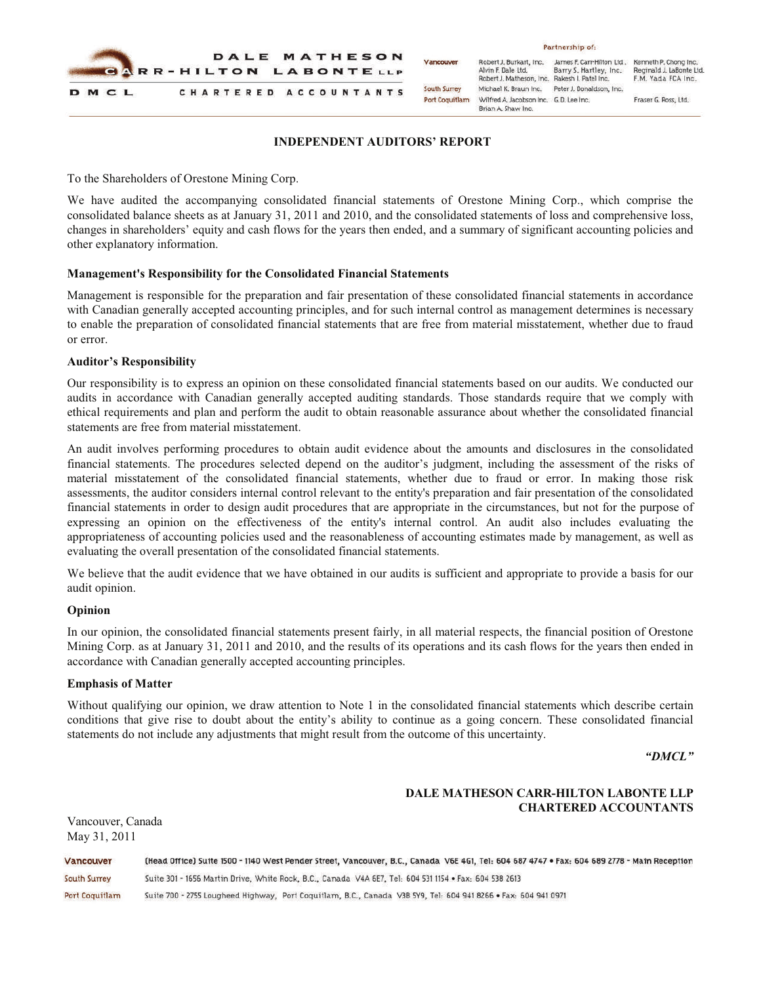

### **INDEPENDENT AUDITORS' REPORT**

To the Shareholders of Orestone Mining Corp.

We have audited the accompanying consolidated financial statements of Orestone Mining Corp., which comprise the consolidated balance sheets as at January 31, 2011 and 2010, and the consolidated statements of loss and comprehensive loss, changes in shareholders' equity and cash flows for the years then ended, and a summary of significant accounting policies and other explanatory information.

### **Management's Responsibility for the Consolidated Financial Statements**

Management is responsible for the preparation and fair presentation of these consolidated financial statements in accordance with Canadian generally accepted accounting principles, and for such internal control as management determines is necessary to enable the preparation of consolidated financial statements that are free from material misstatement, whether due to fraud or error.

#### **Auditor's Responsibility**

Our responsibility is to express an opinion on these consolidated financial statements based on our audits. We conducted our audits in accordance with Canadian generally accepted auditing standards. Those standards require that we comply with ethical requirements and plan and perform the audit to obtain reasonable assurance about whether the consolidated financial statements are free from material misstatement.

An audit involves performing procedures to obtain audit evidence about the amounts and disclosures in the consolidated financial statements. The procedures selected depend on the auditor's judgment, including the assessment of the risks of material misstatement of the consolidated financial statements, whether due to fraud or error. In making those risk assessments, the auditor considers internal control relevant to the entity's preparation and fair presentation of the consolidated financial statements in order to design audit procedures that are appropriate in the circumstances, but not for the purpose of expressing an opinion on the effectiveness of the entity's internal control. An audit also includes evaluating the appropriateness of accounting policies used and the reasonableness of accounting estimates made by management, as well as evaluating the overall presentation of the consolidated financial statements.

We believe that the audit evidence that we have obtained in our audits is sufficient and appropriate to provide a basis for our audit opinion.

### **Opinion**

In our opinion, the consolidated financial statements present fairly, in all material respects, the financial position of Orestone Mining Corp. as at January 31, 2011 and 2010, and the results of its operations and its cash flows for the years then ended in accordance with Canadian generally accepted accounting principles.

#### **Emphasis of Matter**

Vancouver, Canada

Without qualifying our opinion, we draw attention to Note 1 in the consolidated financial statements which describe certain conditions that give rise to doubt about the entity's ability to continue as a going concern. These consolidated financial statements do not include any adjustments that might result from the outcome of this uncertainty.

*"DMCL"*

# **DALE MATHESON CARR-HILTON LABONTE LLP CHARTERED ACCOUNTANTS**

May 31, 2011Vancouver (Head Office) Suite 1500 - 1140 West Pender Street, Vancouver, B.C., Canada V6E 4G1, Tel: 604 687 4747 . Fax: 604 689 2778 - Main Reception South Surrey Suite 301 - 1656 Martin Drive, White Rock, B.C., Canada V4A 6E7, Tel: 604 531 1154 . Fax: 604 538 2613 Suite 700 - 2755 Lougheed Highway, Port Coquitlam, B.C., Canada V3B 5Y9, Tel: 604 941 8266 . Fax: 604 941 0971 **Port Coguitlam**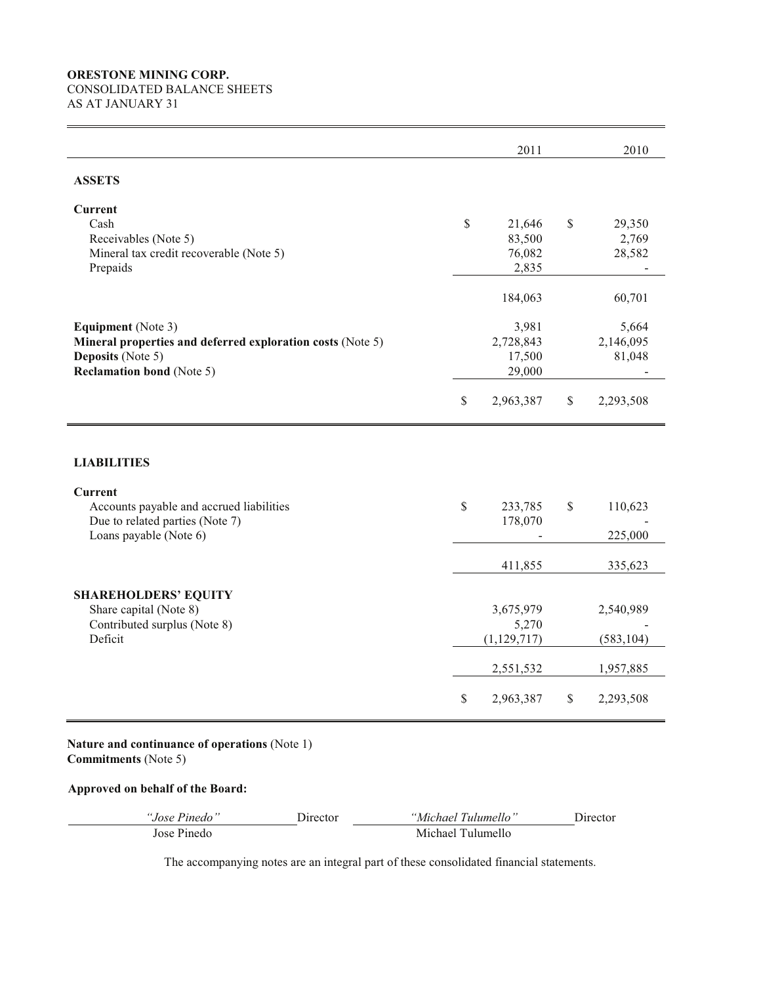# **ORESTONE MINING CORP.** CONSOLIDATED BALANCE SHEETS AS AT JANUARY 31

|                                                                                                                                                  |              | 2011                                              |              | 2010                                   |
|--------------------------------------------------------------------------------------------------------------------------------------------------|--------------|---------------------------------------------------|--------------|----------------------------------------|
| <b>ASSETS</b>                                                                                                                                    |              |                                                   |              |                                        |
| <b>Current</b><br>Cash<br>Receivables (Note 5)<br>Mineral tax credit recoverable (Note 5)<br>Prepaids                                            | $\mathbb{S}$ | 21,646<br>83,500<br>76,082<br>2,835               | \$           | 29,350<br>2,769<br>28,582              |
| <b>Equipment</b> (Note 3)<br>Mineral properties and deferred exploration costs (Note 5)<br>Deposits (Note 5)<br><b>Reclamation bond</b> (Note 5) |              | 184,063<br>3,981<br>2,728,843<br>17,500<br>29,000 |              | 60,701<br>5,664<br>2,146,095<br>81,048 |
|                                                                                                                                                  | $\mathbb S$  | 2,963,387                                         | \$           | 2,293,508                              |
| <b>LIABILITIES</b><br><b>Current</b><br>Accounts payable and accrued liabilities                                                                 | $\mathbb{S}$ | 233,785                                           | $\mathbb{S}$ | 110,623                                |
| Due to related parties (Note 7)<br>Loans payable (Note 6)                                                                                        |              | 178,070                                           |              | 225,000                                |
|                                                                                                                                                  |              | 411,855                                           |              | 335,623                                |
| <b>SHAREHOLDERS' EQUITY</b><br>Share capital (Note 8)<br>Contributed surplus (Note 8)<br>Deficit                                                 |              | 3,675,979<br>5,270<br>(1, 129, 717)               |              | 2,540,989<br>(583, 104)                |
|                                                                                                                                                  | $\mathbb{S}$ | 2,551,532<br>2,963,387                            | \$           | 1,957,885<br>2,293,508                 |

# **Nature and continuance of operations** (Note 1) **Commitments** (Note 5)

# **Approved on behalf of the Board:**

| "Jose Pinedo" | Director | "Michael Tulumello" | Director |
|---------------|----------|---------------------|----------|
| Jose Pinedo   |          | Michael Tulumello   |          |

The accompanying notes are an integral part of these consolidated financial statements.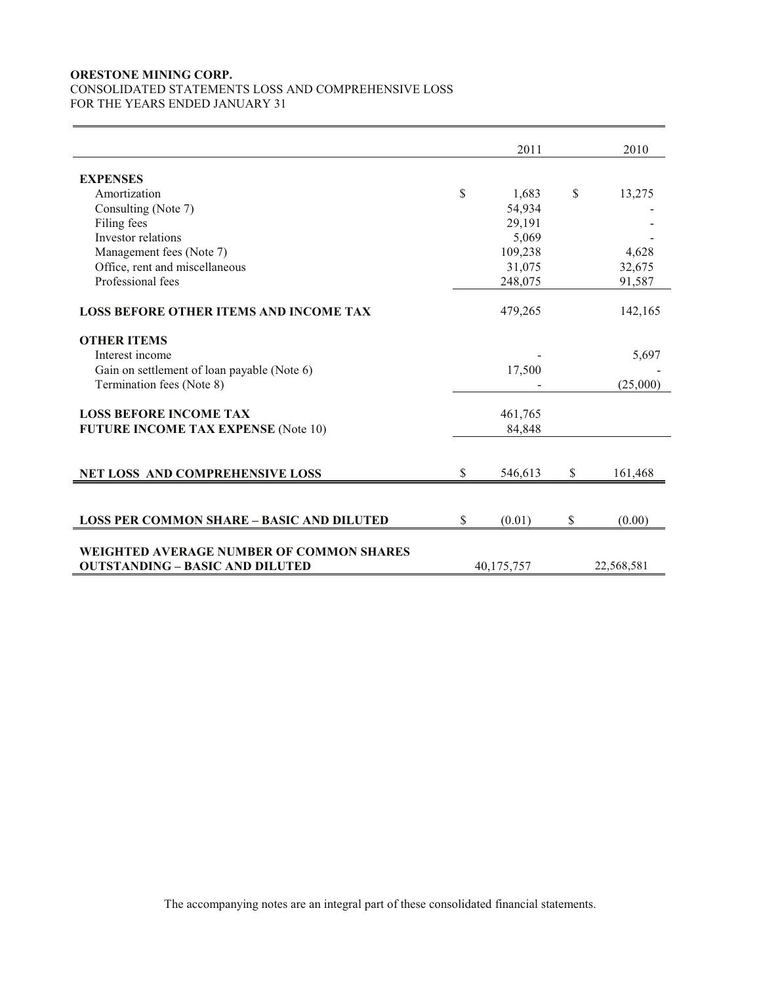# **ORESTONE MINING CORP.** CONSOLIDATED STATEMENTS LOSS AND COMPREHENSIVE LOSS FOR THE YEARS ENDED JANUARY 31

|                                                  | 2011          |              | 2010       |
|--------------------------------------------------|---------------|--------------|------------|
| <b>EXPENSES</b>                                  |               |              |            |
| Amortization                                     | \$<br>1,683   | \$           | 13,275     |
| Consulting (Note 7)                              | 54,934        |              |            |
| Filing fees                                      | 29,191        |              |            |
| Investor relations                               | 5,069         |              |            |
| Management fees (Note 7)                         | 109,238       |              | 4,628      |
| Office, rent and miscellaneous                   | 31,075        |              | 32,675     |
| Professional fees                                | 248,075       |              | 91,587     |
| <b>LOSS BEFORE OTHER ITEMS AND INCOME TAX</b>    | 479,265       |              | 142,165    |
| <b>OTHER ITEMS</b>                               |               |              |            |
| Interest income                                  |               |              | 5,697      |
| Gain on settlement of loan payable (Note 6)      | 17,500        |              |            |
| Termination fees (Note 8)                        |               |              | (25,000)   |
| <b>LOSS BEFORE INCOME TAX</b>                    |               |              |            |
|                                                  | 461,765       |              |            |
| <b>FUTURE INCOME TAX EXPENSE (Note 10)</b>       | 84,848        |              |            |
|                                                  |               |              |            |
| <b>NET LOSS AND COMPREHENSIVE LOSS</b>           | \$<br>546,613 | $\mathbb{S}$ | 161,468    |
|                                                  |               |              |            |
| <b>LOSS PER COMMON SHARE - BASIC AND DILUTED</b> | \$<br>(0.01)  | \$           | (0.00)     |
|                                                  |               |              |            |
| <b>WEIGHTED AVERAGE NUMBER OF COMMON SHARES</b>  |               |              |            |
| <b>OUTSTANDING - BASIC AND DILUTED</b>           | 40,175,757    |              | 22,568,581 |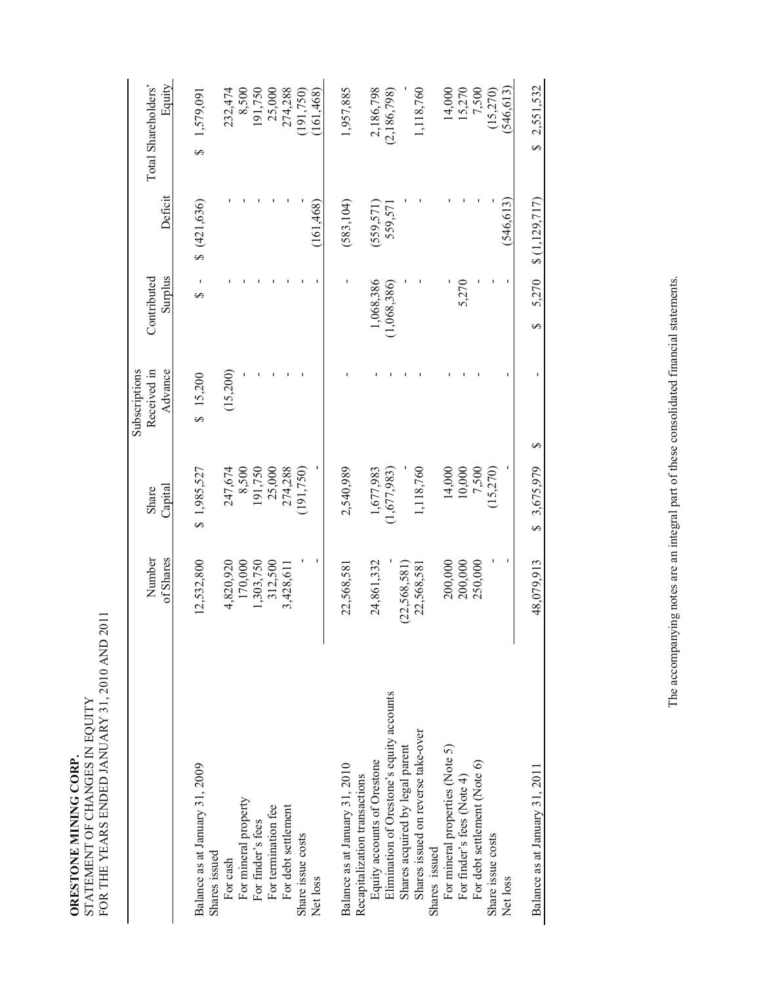| ORESTONE MINING CORP. | STATEMENT OF CHANGES IN EQUITY | FOR THE YEARS ENDED JANUARY 31, 2010 AND 2011 |
|-----------------------|--------------------------------|-----------------------------------------------|
|                       |                                |                                               |

|                                                               | Number       | Share       | Received in<br>Subscriptions | Contributed |                          | Total Shareholders' |
|---------------------------------------------------------------|--------------|-------------|------------------------------|-------------|--------------------------|---------------------|
|                                                               | of Shares    | Capital     | Advance                      | Surplus     | Deficit                  | Equity              |
|                                                               |              |             |                              |             |                          |                     |
| Balance as at January 31, 2009                                | 12,532,800   | \$1,985,527 | \$15,200                     | ∽           | \$(421,636)              | 1,579,091<br>S      |
| Shares issued                                                 |              |             |                              |             |                          |                     |
| For cash                                                      | 4,820,920    | 247,674     | (15,200)                     |             |                          | 232,474             |
| For mineral property                                          | 170,000      | 8,500       |                              |             |                          | 8,500               |
| For finder's fees                                             | 1,303,750    | 191,750     |                              |             |                          | 191,750             |
| For termination fee                                           | 312,500      | 25,000      |                              |             |                          | 25,000              |
| For debt settlement                                           | 3,428,611    | 274,288     |                              |             |                          | 274,288             |
| Share issue costs                                             |              | (191, 750)  |                              |             |                          | (191, 750)          |
| Net loss                                                      |              |             |                              |             | (161, 468)               | 161,468             |
|                                                               |              |             |                              |             |                          |                     |
| Balance as at January 31, 2010                                | 22,568,581   | 2,540,989   |                              |             | (583, 104)               | 1,957,885           |
| Recapitalization transactions                                 |              |             |                              |             |                          |                     |
| Equity accounts of Orestone                                   | 24,861,332   | 1,677,983   |                              | 1,068,386   | (559, 571)               | 2,186,798           |
| Elimination of Orestone's equity accounts                     |              | (1,677,983) |                              | (1,068,386) | 559,571                  | (2,186,798)         |
| Shares acquired by legal parent                               | (22,568,581) |             |                              |             |                          |                     |
| Shares issued on reverse take-over                            | 22,568,581   | 1,118,760   |                              |             |                          | 1,118,760           |
| Shares issued                                                 |              |             |                              |             |                          |                     |
| For mineral properties (Note 5)<br>For finder's fees (Note 4) | 200,000      | 14,000      |                              |             |                          | 14,000              |
|                                                               | 200,000      | 10,000      |                              | 5,270       |                          | 15,270              |
| For debt settlement (Note 6)                                  | 250,000      | 7,500       |                              |             |                          | 7,500               |
| Share issue costs                                             |              | 15,270      |                              |             |                          | (15.270)            |
| Net loss                                                      |              |             |                              |             | (546, 613)               | (546, 613)          |
|                                                               |              |             |                              |             |                          |                     |
| Balance as at January 31, 2011                                | 48,079,913   | \$3,675,979 | ∽                            | Ø           | $5,270$ \$ $(1,129,717)$ | \$2,551,532         |
|                                                               |              |             |                              |             |                          |                     |

The accompanying notes are an integral part of these consolidated financial statements. The accompanying notes are an integral part of these consolidated financial statements.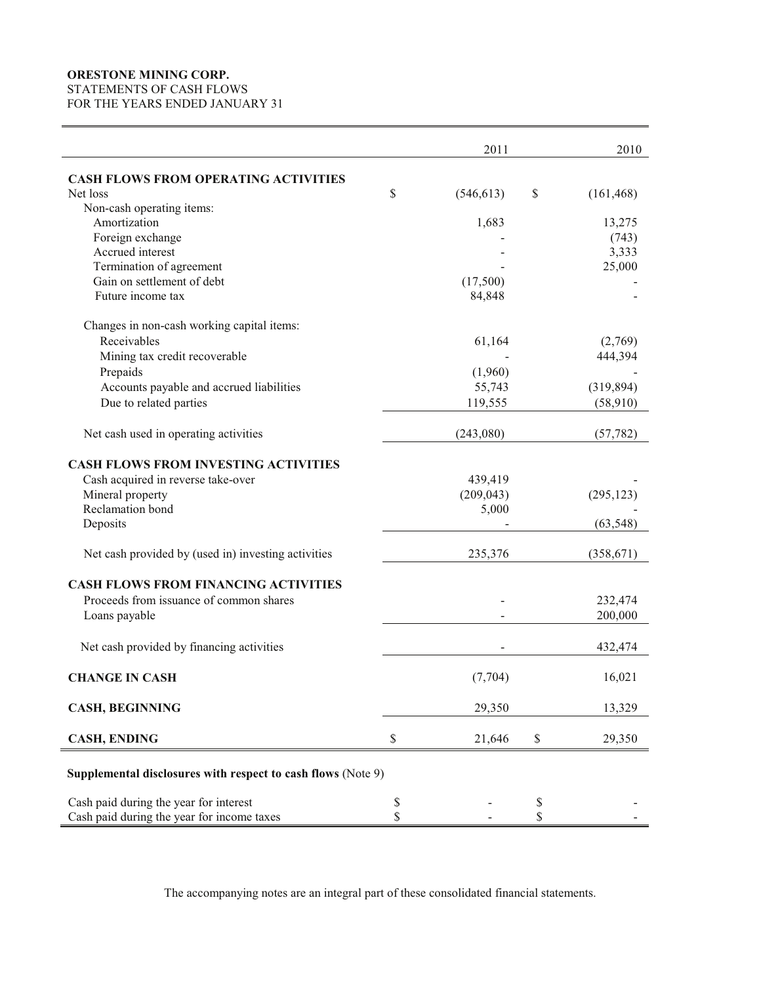# **ORESTONE MINING CORP.**

STATEMENTS OF CASH FLOWS

FOR THE YEARS ENDED JANUARY 31

|                                                              | 2011             | 2010             |
|--------------------------------------------------------------|------------------|------------------|
| <b>CASH FLOWS FROM OPERATING ACTIVITIES</b>                  |                  |                  |
| Net loss                                                     | \$<br>(546, 613) | \$<br>(161, 468) |
| Non-cash operating items:                                    |                  |                  |
| Amortization                                                 | 1,683            | 13,275           |
| Foreign exchange                                             |                  | (743)            |
| Accrued interest                                             |                  | 3,333            |
| Termination of agreement                                     |                  | 25,000           |
| Gain on settlement of debt                                   | (17,500)         |                  |
| Future income tax                                            | 84,848           |                  |
| Changes in non-cash working capital items:                   |                  |                  |
| Receivables                                                  | 61,164           | (2,769)          |
| Mining tax credit recoverable                                |                  | 444,394          |
| Prepaids                                                     | (1,960)          |                  |
| Accounts payable and accrued liabilities                     | 55,743           | (319, 894)       |
| Due to related parties                                       | 119,555          | (58, 910)        |
| Net cash used in operating activities                        | (243,080)        | (57, 782)        |
| <b>CASH FLOWS FROM INVESTING ACTIVITIES</b>                  |                  |                  |
| Cash acquired in reverse take-over                           | 439,419          |                  |
| Mineral property                                             | (209, 043)       | (295, 123)       |
| Reclamation bond                                             | 5,000            |                  |
| Deposits                                                     |                  | (63, 548)        |
| Net cash provided by (used in) investing activities          | 235,376          | (358, 671)       |
| <b>CASH FLOWS FROM FINANCING ACTIVITIES</b>                  |                  |                  |
| Proceeds from issuance of common shares                      |                  | 232,474          |
| Loans payable                                                |                  | 200,000          |
| Net cash provided by financing activities                    |                  | 432,474          |
| <b>CHANGE IN CASH</b>                                        | (7,704)          | 16,021           |
| <b>CASH, BEGINNING</b>                                       | 29,350           | 13,329           |
| <b>CASH, ENDING</b>                                          | \$<br>21,646     | \$<br>29,350     |
| Supplemental disclosures with respect to cash flows (Note 9) |                  |                  |
| Cash paid during the year for interest                       | \$               | \$               |
| Cash paid during the year for income taxes                   | \$               | \$               |

The accompanying notes are an integral part of these consolidated financial statements.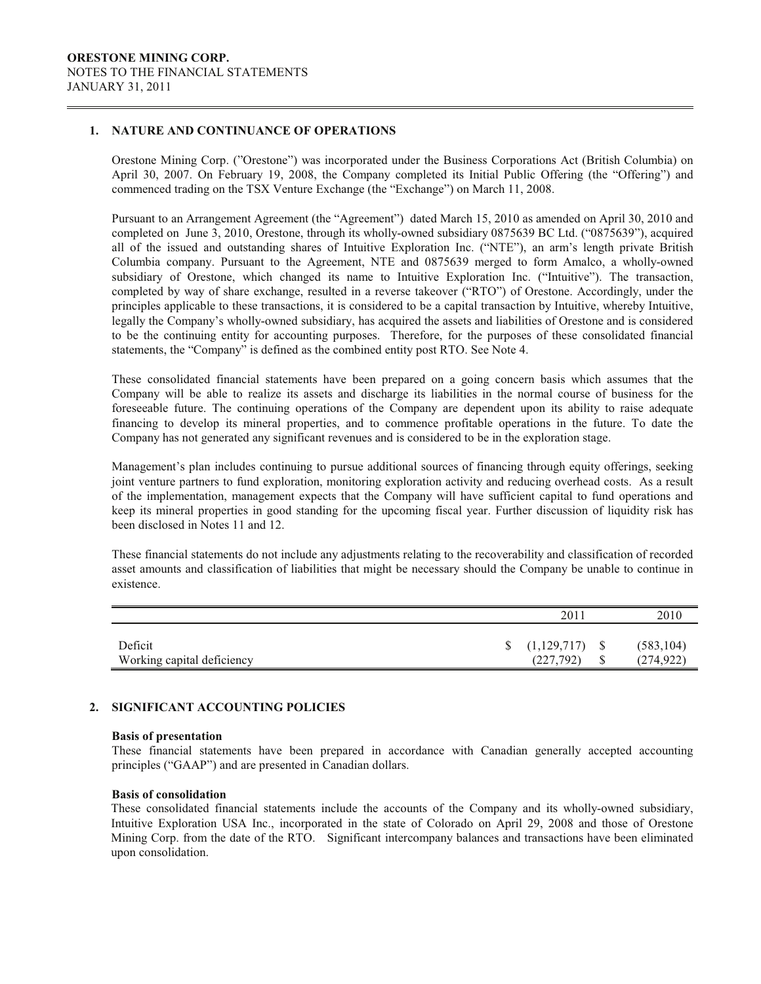### **1. NATURE AND CONTINUANCE OF OPERATIONS**

Orestone Mining Corp. ("Orestone") was incorporated under the Business Corporations Act (British Columbia) on April 30, 2007. On February 19, 2008, the Company completed its Initial Public Offering (the "Offering") and commenced trading on the TSX Venture Exchange (the "Exchange") on March 11, 2008.

Pursuant to an Arrangement Agreement (the "Agreement") dated March 15, 2010 as amended on April 30, 2010 and completed on June 3, 2010, Orestone, through its wholly-owned subsidiary 0875639 BC Ltd. ("0875639"), acquired all of the issued and outstanding shares of Intuitive Exploration Inc. ("NTE"), an arm's length private British Columbia company. Pursuant to the Agreement, NTE and 0875639 merged to form Amalco, a wholly-owned subsidiary of Orestone, which changed its name to Intuitive Exploration Inc. ("Intuitive"). The transaction, completed by way of share exchange, resulted in a reverse takeover ("RTO") of Orestone. Accordingly, under the principles applicable to these transactions, it is considered to be a capital transaction by Intuitive, whereby Intuitive, legally the Company's wholly-owned subsidiary, has acquired the assets and liabilities of Orestone and is considered to be the continuing entity for accounting purposes. Therefore, for the purposes of these consolidated financial statements, the "Company" is defined as the combined entity post RTO. See Note 4.

These consolidated financial statements have been prepared on a going concern basis which assumes that the Company will be able to realize its assets and discharge its liabilities in the normal course of business for the foreseeable future. The continuing operations of the Company are dependent upon its ability to raise adequate financing to develop its mineral properties, and to commence profitable operations in the future. To date the Company has not generated any significant revenues and is considered to be in the exploration stage.

Management's plan includes continuing to pursue additional sources of financing through equity offerings, seeking joint venture partners to fund exploration, monitoring exploration activity and reducing overhead costs. As a result of the implementation, management expects that the Company will have sufficient capital to fund operations and keep its mineral properties in good standing for the upcoming fiscal year. Further discussion of liquidity risk has been disclosed in Notes 11 and 12.

These financial statements do not include any adjustments relating to the recoverability and classification of recorded asset amounts and classification of liabilities that might be necessary should the Company be unable to continue in existence.

|                                       | <b>201</b>                     |     | 2010                     |
|---------------------------------------|--------------------------------|-----|--------------------------|
| Deficit<br>Working capital deficiency | $\{(1,129,717)\}$<br>(227,792) | - S | (583, 104)<br>(274, 922) |

### **2. SIGNIFICANT ACCOUNTING POLICIES**

#### **Basis of presentation**

These financial statements have been prepared in accordance with Canadian generally accepted accounting principles ("GAAP") and are presented in Canadian dollars.

### **Basis of consolidation**

These consolidated financial statements include the accounts of the Company and its wholly-owned subsidiary, Intuitive Exploration USA Inc., incorporated in the state of Colorado on April 29, 2008 and those of Orestone Mining Corp. from the date of the RTO. Significant intercompany balances and transactions have been eliminated upon consolidation.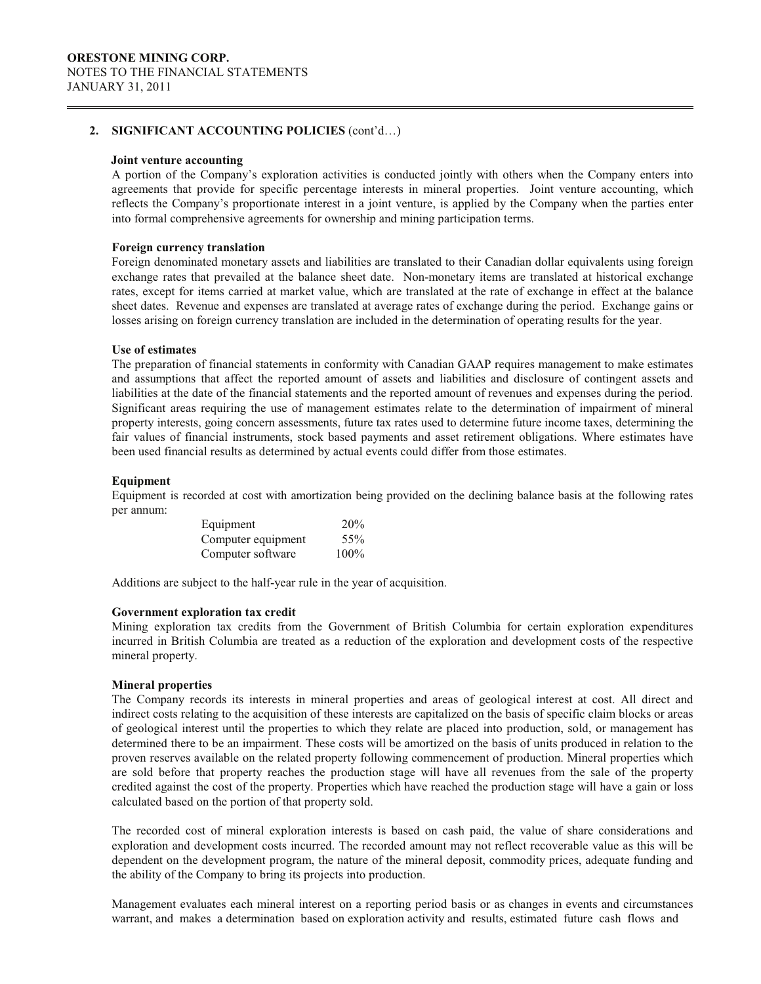#### **Joint venture accounting**

A portion of the Company's exploration activities is conducted jointly with others when the Company enters into agreements that provide for specific percentage interests in mineral properties. Joint venture accounting, which reflects the Company's proportionate interest in a joint venture, is applied by the Company when the parties enter into formal comprehensive agreements for ownership and mining participation terms.

### **Foreign currency translation**

Foreign denominated monetary assets and liabilities are translated to their Canadian dollar equivalents using foreign exchange rates that prevailed at the balance sheet date. Non-monetary items are translated at historical exchange rates, except for items carried at market value, which are translated at the rate of exchange in effect at the balance sheet dates. Revenue and expenses are translated at average rates of exchange during the period. Exchange gains or losses arising on foreign currency translation are included in the determination of operating results for the year.

### **Use of estimates**

The preparation of financial statements in conformity with Canadian GAAP requires management to make estimates and assumptions that affect the reported amount of assets and liabilities and disclosure of contingent assets and liabilities at the date of the financial statements and the reported amount of revenues and expenses during the period. Significant areas requiring the use of management estimates relate to the determination of impairment of mineral property interests, going concern assessments, future tax rates used to determine future income taxes, determining the fair values of financial instruments, stock based payments and asset retirement obligations. Where estimates have been used financial results as determined by actual events could differ from those estimates.

## **Equipment**

Equipment is recorded at cost with amortization being provided on the declining balance basis at the following rates per annum:

| Equipment          | 20%     |
|--------------------|---------|
| Computer equipment | 55%     |
| Computer software  | $100\%$ |

Additions are subject to the half-year rule in the year of acquisition.

### **Government exploration tax credit**

Mining exploration tax credits from the Government of British Columbia for certain exploration expenditures incurred in British Columbia are treated as a reduction of the exploration and development costs of the respective mineral property.

### **Mineral properties**

The Company records its interests in mineral properties and areas of geological interest at cost. All direct and indirect costs relating to the acquisition of these interests are capitalized on the basis of specific claim blocks or areas of geological interest until the properties to which they relate are placed into production, sold, or management has determined there to be an impairment. These costs will be amortized on the basis of units produced in relation to the proven reserves available on the related property following commencement of production. Mineral properties which are sold before that property reaches the production stage will have all revenues from the sale of the property credited against the cost of the property. Properties which have reached the production stage will have a gain or loss calculated based on the portion of that property sold.

The recorded cost of mineral exploration interests is based on cash paid, the value of share considerations and exploration and development costs incurred. The recorded amount may not reflect recoverable value as this will be dependent on the development program, the nature of the mineral deposit, commodity prices, adequate funding and the ability of the Company to bring its projects into production.

Management evaluates each mineral interest on a reporting period basis or as changes in events and circumstances warrant, and makes a determination based on exploration activity and results, estimated future cash flows and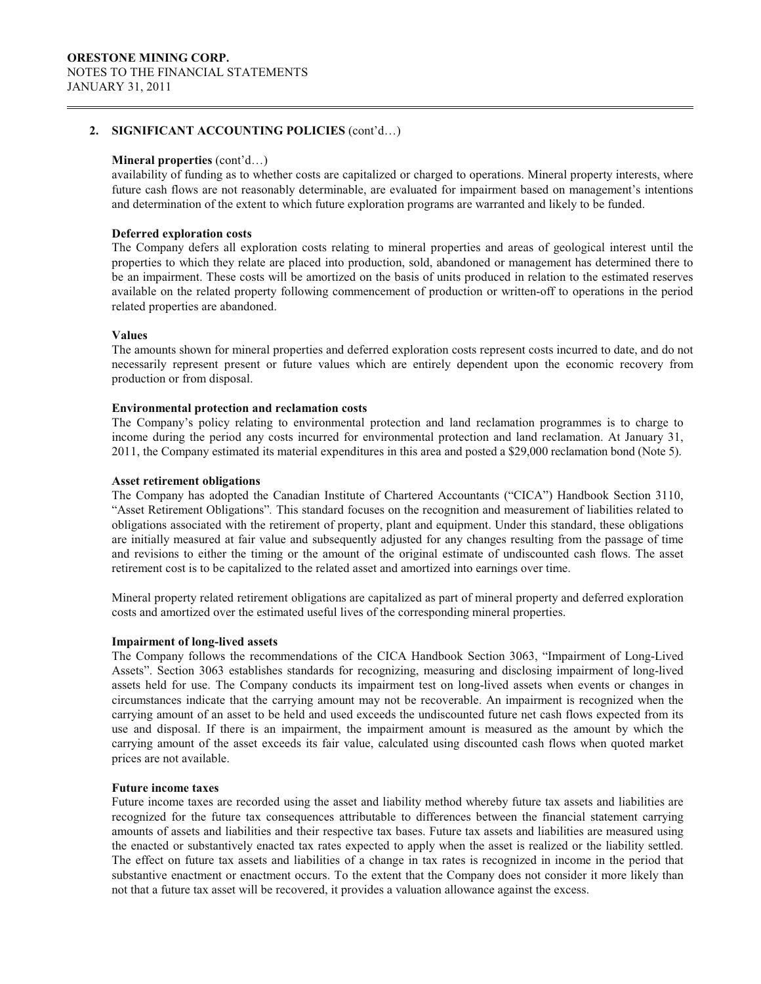### **Mineral properties** (cont'd…)

availability of funding as to whether costs are capitalized or charged to operations. Mineral property interests, where future cash flows are not reasonably determinable, are evaluated for impairment based on management's intentions and determination of the extent to which future exploration programs are warranted and likely to be funded.

### **Deferred exploration costs**

The Company defers all exploration costs relating to mineral properties and areas of geological interest until the properties to which they relate are placed into production, sold, abandoned or management has determined there to be an impairment. These costs will be amortized on the basis of units produced in relation to the estimated reserves available on the related property following commencement of production or written-off to operations in the period related properties are abandoned.

### **Values**

The amounts shown for mineral properties and deferred exploration costs represent costs incurred to date, and do not necessarily represent present or future values which are entirely dependent upon the economic recovery from production or from disposal.

### **Environmental protection and reclamation costs**

The Company's policy relating to environmental protection and land reclamation programmes is to charge to income during the period any costs incurred for environmental protection and land reclamation. At January 31, 2011, the Company estimated its material expenditures in this area and posted a \$29,000 reclamation bond (Note 5).

### **Asset retirement obligations**

The Company has adopted the Canadian Institute of Chartered Accountants ("CICA") Handbook Section 3110, "Asset Retirement Obligations"*.* This standard focuses on the recognition and measurement of liabilities related to obligations associated with the retirement of property, plant and equipment. Under this standard, these obligations are initially measured at fair value and subsequently adjusted for any changes resulting from the passage of time and revisions to either the timing or the amount of the original estimate of undiscounted cash flows. The asset retirement cost is to be capitalized to the related asset and amortized into earnings over time.

Mineral property related retirement obligations are capitalized as part of mineral property and deferred exploration costs and amortized over the estimated useful lives of the corresponding mineral properties.

#### **Impairment of long-lived assets**

The Company follows the recommendations of the CICA Handbook Section 3063, "Impairment of Long-Lived Assets". Section 3063 establishes standards for recognizing, measuring and disclosing impairment of long-lived assets held for use. The Company conducts its impairment test on long-lived assets when events or changes in circumstances indicate that the carrying amount may not be recoverable. An impairment is recognized when the carrying amount of an asset to be held and used exceeds the undiscounted future net cash flows expected from its use and disposal. If there is an impairment, the impairment amount is measured as the amount by which the carrying amount of the asset exceeds its fair value, calculated using discounted cash flows when quoted market prices are not available.

#### **Future income taxes**

Future income taxes are recorded using the asset and liability method whereby future tax assets and liabilities are recognized for the future tax consequences attributable to differences between the financial statement carrying amounts of assets and liabilities and their respective tax bases. Future tax assets and liabilities are measured using the enacted or substantively enacted tax rates expected to apply when the asset is realized or the liability settled. The effect on future tax assets and liabilities of a change in tax rates is recognized in income in the period that substantive enactment or enactment occurs. To the extent that the Company does not consider it more likely than not that a future tax asset will be recovered, it provides a valuation allowance against the excess.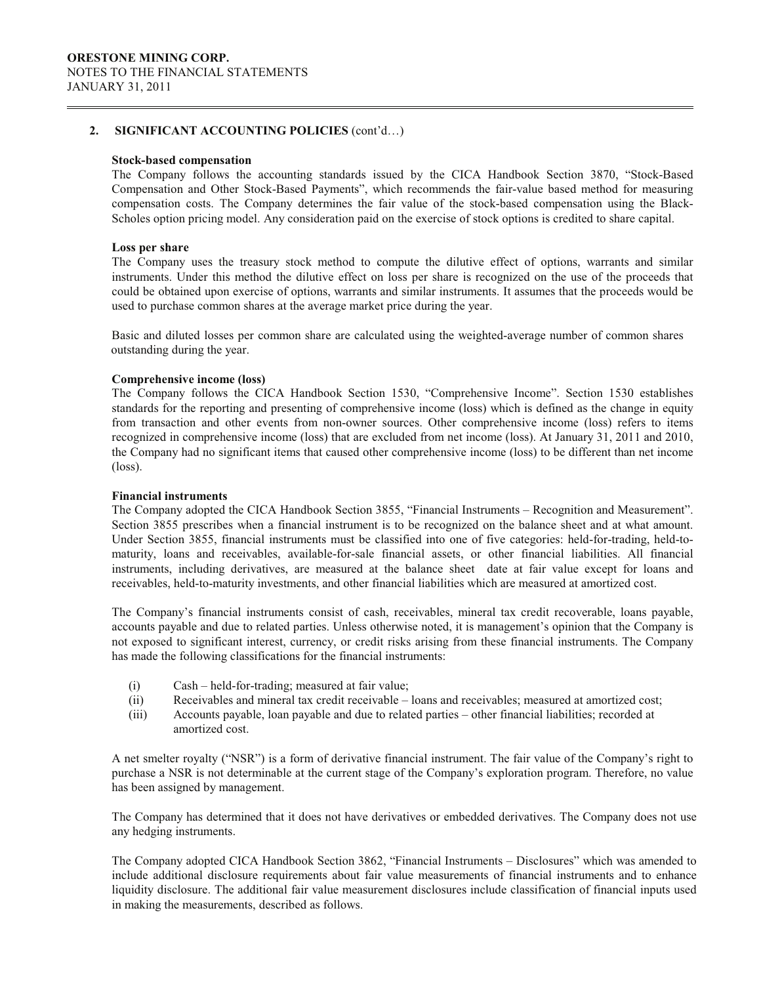### **Stock-based compensation**

The Company follows the accounting standards issued by the CICA Handbook Section 3870, "Stock-Based Compensation and Other Stock-Based Payments", which recommends the fair-value based method for measuring compensation costs. The Company determines the fair value of the stock-based compensation using the Black-Scholes option pricing model. Any consideration paid on the exercise of stock options is credited to share capital.

### **Loss per share**

The Company uses the treasury stock method to compute the dilutive effect of options, warrants and similar instruments. Under this method the dilutive effect on loss per share is recognized on the use of the proceeds that could be obtained upon exercise of options, warrants and similar instruments. It assumes that the proceeds would be used to purchase common shares at the average market price during the year.

Basic and diluted losses per common share are calculated using the weighted-average number of common shares outstanding during the year.

## **Comprehensive income (loss)**

The Company follows the CICA Handbook Section 1530, "Comprehensive Income". Section 1530 establishes standards for the reporting and presenting of comprehensive income (loss) which is defined as the change in equity from transaction and other events from non-owner sources. Other comprehensive income (loss) refers to items recognized in comprehensive income (loss) that are excluded from net income (loss). At January 31, 2011 and 2010, the Company had no significant items that caused other comprehensive income (loss) to be different than net income (loss).

### **Financial instruments**

The Company adopted the CICA Handbook Section 3855, "Financial Instruments – Recognition and Measurement". Section 3855 prescribes when a financial instrument is to be recognized on the balance sheet and at what amount. Under Section 3855, financial instruments must be classified into one of five categories: held-for-trading, held-tomaturity, loans and receivables, available-for-sale financial assets, or other financial liabilities. All financial instruments, including derivatives, are measured at the balance sheet date at fair value except for loans and receivables, held-to-maturity investments, and other financial liabilities which are measured at amortized cost.

The Company's financial instruments consist of cash, receivables, mineral tax credit recoverable, loans payable, accounts payable and due to related parties. Unless otherwise noted, it is management's opinion that the Company is not exposed to significant interest, currency, or credit risks arising from these financial instruments. The Company has made the following classifications for the financial instruments:

- (i) Cash held-for-trading; measured at fair value;
- (ii) Receivables and mineral tax credit receivable loans and receivables; measured at amortized cost;
- (iii) Accounts payable, loan payable and due to related parties other financial liabilities; recorded at amortized cost.

A net smelter royalty ("NSR") is a form of derivative financial instrument. The fair value of the Company's right to purchase a NSR is not determinable at the current stage of the Company's exploration program. Therefore, no value has been assigned by management.

The Company has determined that it does not have derivatives or embedded derivatives. The Company does not use any hedging instruments.

The Company adopted CICA Handbook Section 3862, "Financial Instruments – Disclosures" which was amended to include additional disclosure requirements about fair value measurements of financial instruments and to enhance liquidity disclosure. The additional fair value measurement disclosures include classification of financial inputs used in making the measurements, described as follows.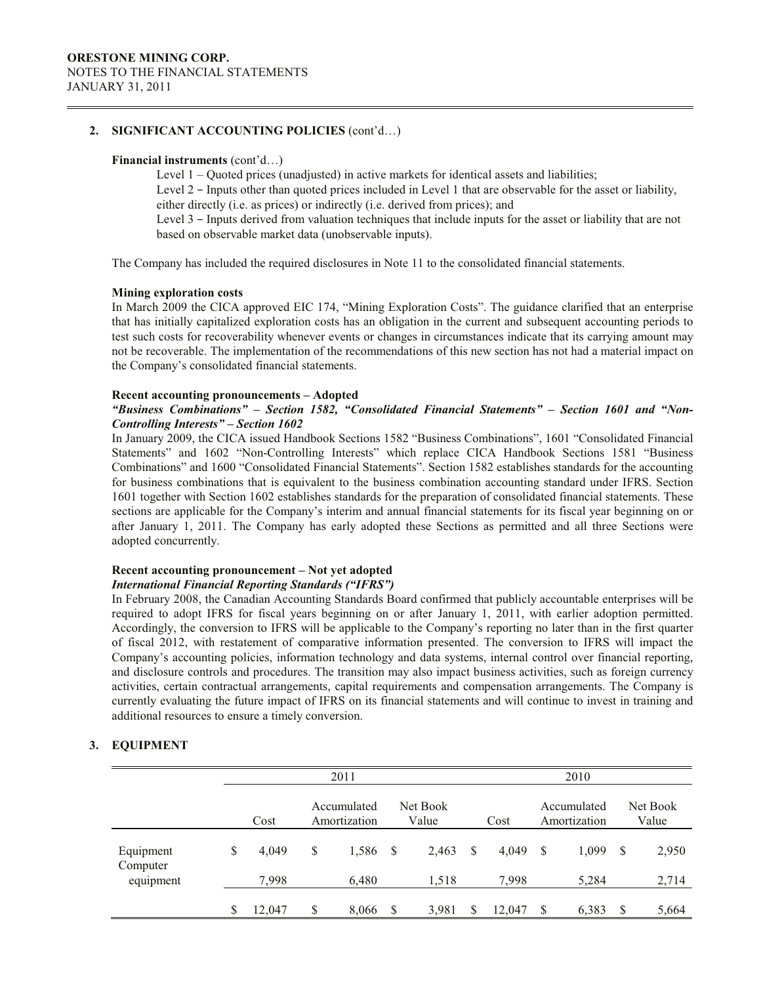#### **Financial instruments** (cont'd…)

Level 1 – Quoted prices (unadjusted) in active markets for identical assets and liabilities; Level 2 – Inputs other than quoted prices included in Level 1 that are observable for the asset or liability, either directly (i.e. as prices) or indirectly (i.e. derived from prices); and Level 3 - Inputs derived from valuation techniques that include inputs for the asset or liability that are not based on observable market data (unobservable inputs).

The Company has included the required disclosures in Note 11 to the consolidated financial statements.

### **Mining exploration costs**

In March 2009 the CICA approved EIC 174, "Mining Exploration Costs". The guidance clarified that an enterprise that has initially capitalized exploration costs has an obligation in the current and subsequent accounting periods to test such costs for recoverability whenever events or changes in circumstances indicate that its carrying amount may not be recoverable. The implementation of the recommendations of this new section has not had a material impact on the Company's consolidated financial statements.

### **Recent accounting pronouncements – Adopted**

## *"Business Combinations" – Section 1582, "Consolidated Financial Statements" – Section 1601 and "Non-Controlling Interests" – Section 1602*

In January 2009, the CICA issued Handbook Sections 1582 "Business Combinations", 1601 "Consolidated Financial Statements" and 1602 "Non-Controlling Interests" which replace CICA Handbook Sections 1581 "Business Combinations" and 1600 "Consolidated Financial Statements". Section 1582 establishes standards for the accounting for business combinations that is equivalent to the business combination accounting standard under IFRS. Section 1601 together with Section 1602 establishes standards for the preparation of consolidated financial statements. These sections are applicable for the Company's interim and annual financial statements for its fiscal year beginning on or after January 1, 2011. The Company has early adopted these Sections as permitted and all three Sections were adopted concurrently.

# **Recent accounting pronouncement – Not yet adopted**

# *International Financial Reporting Standards ("IFRS")*

In February 2008, the Canadian Accounting Standards Board confirmed that publicly accountable enterprises will be required to adopt IFRS for fiscal years beginning on or after January 1, 2011, with earlier adoption permitted. Accordingly, the conversion to IFRS will be applicable to the Company's reporting no later than in the first quarter of fiscal 2012, with restatement of comparative information presented. The conversion to IFRS will impact the Company's accounting policies, information technology and data systems, internal control over financial reporting, and disclosure controls and procedures. The transition may also impact business activities, such as foreign currency activities, certain contractual arrangements, capital requirements and compensation arrangements. The Company is currently evaluating the future impact of IFRS on its financial statements and will continue to invest in training and additional resources to ensure a timely conversion.

# **3. EQUIPMENT**

|                                    |   |                | 2011                        |          |                   |   |                |    | 2010                        |               |                   |
|------------------------------------|---|----------------|-----------------------------|----------|-------------------|---|----------------|----|-----------------------------|---------------|-------------------|
|                                    |   | Cost           | Accumulated<br>Amortization |          | Net Book<br>Value |   | Cost           |    | Accumulated<br>Amortization |               | Net Book<br>Value |
| Equipment<br>Computer<br>equipment | S | 4.049<br>7,998 | \$<br>1,586<br>6,480        | <b>S</b> | 2,463<br>1,518    | S | 4,049<br>7,998 | S  | 1,099<br>5,284              | <sup>\$</sup> | 2,950<br>2,714    |
|                                    |   | 12.047         | \$<br>8,066                 | S        | 3,981             |   | 12.047         | \$ | 6,383                       | S             | 5,664             |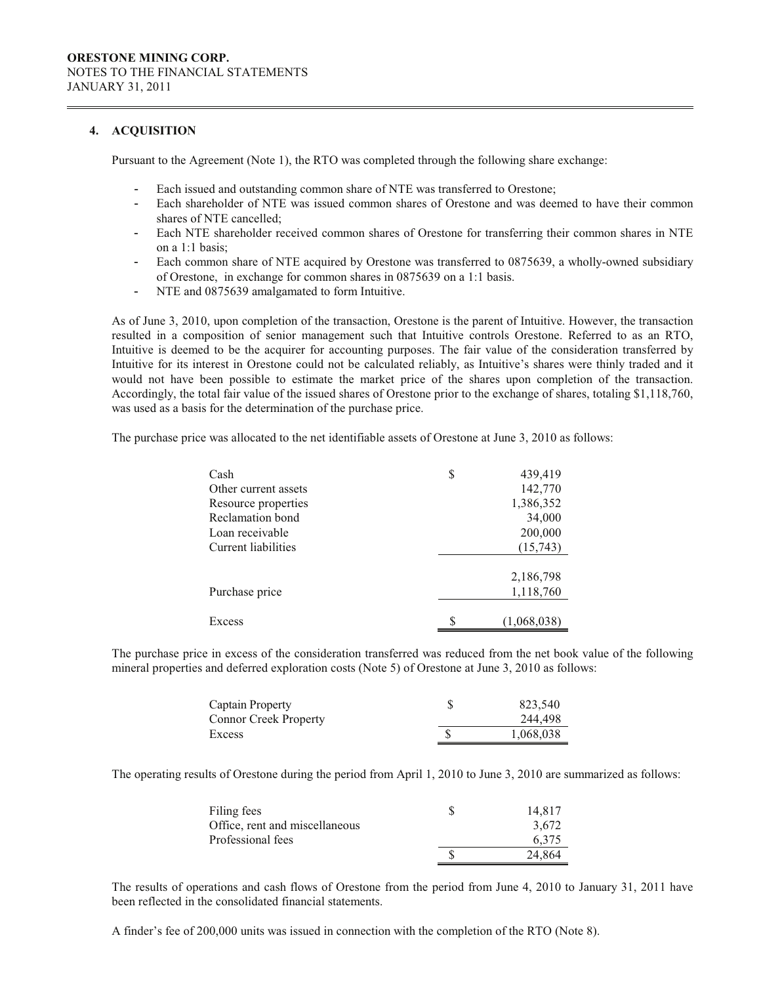### **4. ACQUISITION**

Pursuant to the Agreement (Note 1), the RTO was completed through the following share exchange:

- Each issued and outstanding common share of NTE was transferred to Orestone;
- Each shareholder of NTE was issued common shares of Orestone and was deemed to have their common shares of NTE cancelled;
- Each NTE shareholder received common shares of Orestone for transferring their common shares in NTE on a 1:1 basis;
- Each common share of NTE acquired by Orestone was transferred to 0875639, a wholly-owned subsidiary of Orestone, in exchange for common shares in 0875639 on a 1:1 basis.
- NTE and 0875639 amalgamated to form Intuitive.

As of June 3, 2010, upon completion of the transaction, Orestone is the parent of Intuitive. However, the transaction resulted in a composition of senior management such that Intuitive controls Orestone. Referred to as an RTO, Intuitive is deemed to be the acquirer for accounting purposes. The fair value of the consideration transferred by Intuitive for its interest in Orestone could not be calculated reliably, as Intuitive's shares were thinly traded and it would not have been possible to estimate the market price of the shares upon completion of the transaction. Accordingly, the total fair value of the issued shares of Orestone prior to the exchange of shares, totaling \$1,118,760, was used as a basis for the determination of the purchase price.

The purchase price was allocated to the net identifiable assets of Orestone at June 3, 2010 as follows:

| Cash                 | \$<br>439,419 |
|----------------------|---------------|
| Other current assets | 142,770       |
| Resource properties  | 1,386,352     |
| Reclamation bond     | 34,000        |
| Loan receivable      | 200,000       |
| Current liabilities  | (15,743)      |
|                      |               |
|                      | 2,186,798     |
| Purchase price       | 1,118,760     |
|                      |               |
| Excess               | (1,068,038)   |

The purchase price in excess of the consideration transferred was reduced from the net book value of the following mineral properties and deferred exploration costs (Note 5) of Orestone at June 3, 2010 as follows:

| Captain Property             | 823,540   |
|------------------------------|-----------|
| <b>Connor Creek Property</b> | 244,498   |
| Excess                       | 1,068,038 |

The operating results of Orestone during the period from April 1, 2010 to June 3, 2010 are summarized as follows:

| Filing fees                    | 14.817 |
|--------------------------------|--------|
| Office, rent and miscellaneous | 3,672  |
| Professional fees              | 6.375  |
|                                | 24.864 |

The results of operations and cash flows of Orestone from the period from June 4, 2010 to January 31, 2011 have been reflected in the consolidated financial statements.

A finder's fee of 200,000 units was issued in connection with the completion of the RTO (Note 8).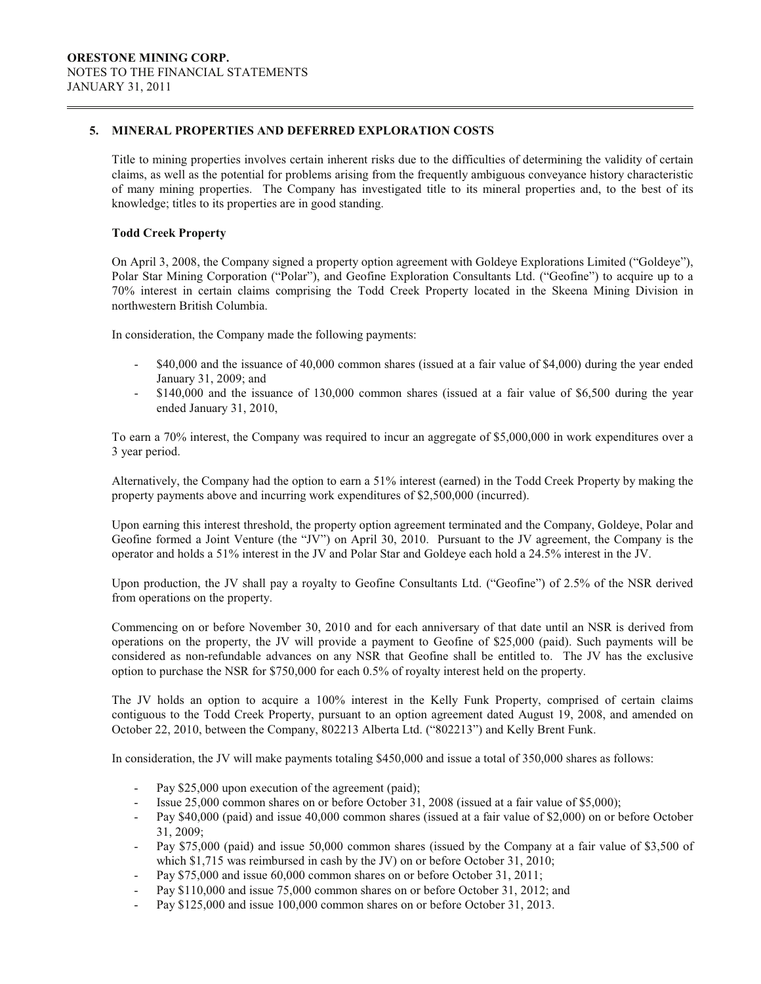### **5. MINERAL PROPERTIES AND DEFERRED EXPLORATION COSTS**

Title to mining properties involves certain inherent risks due to the difficulties of determining the validity of certain claims, as well as the potential for problems arising from the frequently ambiguous conveyance history characteristic of many mining properties. The Company has investigated title to its mineral properties and, to the best of its knowledge; titles to its properties are in good standing.

## **Todd Creek Property**

On April 3, 2008, the Company signed a property option agreement with Goldeye Explorations Limited ("Goldeye"), Polar Star Mining Corporation ("Polar"), and Geofine Exploration Consultants Ltd. ("Geofine") to acquire up to a 70% interest in certain claims comprising the Todd Creek Property located in the Skeena Mining Division in northwestern British Columbia.

In consideration, the Company made the following payments:

- \$40,000 and the issuance of 40,000 common shares (issued at a fair value of \$4,000) during the year ended January 31, 2009; and
- \$140,000 and the issuance of 130,000 common shares (issued at a fair value of \$6,500 during the year ended January 31, 2010,

To earn a 70% interest, the Company was required to incur an aggregate of \$5,000,000 in work expenditures over a 3 year period.

Alternatively, the Company had the option to earn a 51% interest (earned) in the Todd Creek Property by making the property payments above and incurring work expenditures of \$2,500,000 (incurred).

Upon earning this interest threshold, the property option agreement terminated and the Company, Goldeye, Polar and Geofine formed a Joint Venture (the "JV") on April 30, 2010. Pursuant to the JV agreement, the Company is the operator and holds a 51% interest in the JV and Polar Star and Goldeye each hold a 24.5% interest in the JV.

Upon production, the JV shall pay a royalty to Geofine Consultants Ltd. ("Geofine") of 2.5% of the NSR derived from operations on the property.

Commencing on or before November 30, 2010 and for each anniversary of that date until an NSR is derived from operations on the property, the JV will provide a payment to Geofine of \$25,000 (paid). Such payments will be considered as non-refundable advances on any NSR that Geofine shall be entitled to. The JV has the exclusive option to purchase the NSR for \$750,000 for each 0.5% of royalty interest held on the property.

The JV holds an option to acquire a 100% interest in the Kelly Funk Property, comprised of certain claims contiguous to the Todd Creek Property, pursuant to an option agreement dated August 19, 2008, and amended on October 22, 2010, between the Company, 802213 Alberta Ltd. ("802213") and Kelly Brent Funk.

In consideration, the JV will make payments totaling \$450,000 and issue a total of 350,000 shares as follows:

- Pay \$25,000 upon execution of the agreement (paid);
- Issue 25,000 common shares on or before October 31, 2008 (issued at a fair value of \$5,000);
- Pay \$40,000 (paid) and issue 40,000 common shares (issued at a fair value of \$2,000) on or before October 31, 2009;
- Pay \$75,000 (paid) and issue 50,000 common shares (issued by the Company at a fair value of \$3,500 of which \$1,715 was reimbursed in cash by the JV) on or before October 31, 2010;
- Pay \$75,000 and issue 60,000 common shares on or before October 31, 2011;
- Pay \$110,000 and issue 75,000 common shares on or before October 31, 2012; and
- Pay \$125,000 and issue 100,000 common shares on or before October 31, 2013.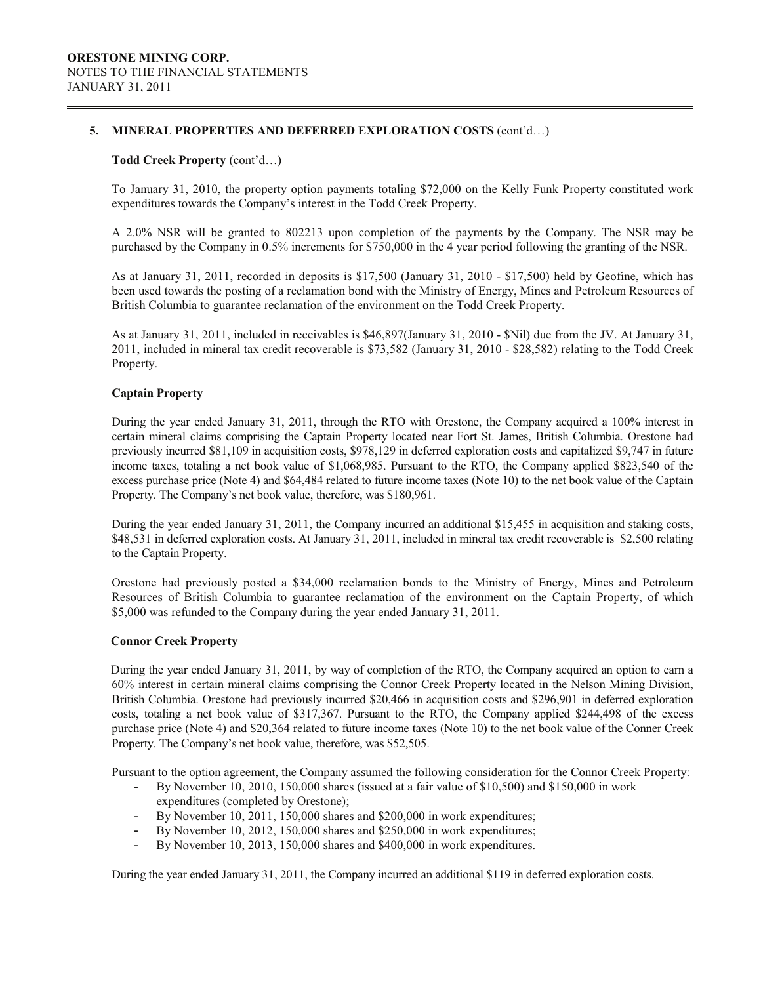### **5. MINERAL PROPERTIES AND DEFERRED EXPLORATION COSTS** (cont'd…)

### **Todd Creek Property** (cont'd…)

To January 31, 2010, the property option payments totaling \$72,000 on the Kelly Funk Property constituted work expenditures towards the Company's interest in the Todd Creek Property.

A 2.0% NSR will be granted to 802213 upon completion of the payments by the Company. The NSR may be purchased by the Company in 0.5% increments for \$750,000 in the 4 year period following the granting of the NSR.

As at January 31, 2011, recorded in deposits is \$17,500 (January 31, 2010 - \$17,500) held by Geofine, which has been used towards the posting of a reclamation bond with the Ministry of Energy, Mines and Petroleum Resources of British Columbia to guarantee reclamation of the environment on the Todd Creek Property.

As at January 31, 2011, included in receivables is \$46,897(January 31, 2010 - \$Nil) due from the JV. At January 31, 2011, included in mineral tax credit recoverable is \$73,582 (January 31, 2010 - \$28,582) relating to the Todd Creek Property.

### **Captain Property**

During the year ended January 31, 2011, through the RTO with Orestone, the Company acquired a 100% interest in certain mineral claims comprising the Captain Property located near Fort St. James, British Columbia. Orestone had previously incurred \$81,109 in acquisition costs, \$978,129 in deferred exploration costs and capitalized \$9,747 in future income taxes, totaling a net book value of \$1,068,985. Pursuant to the RTO, the Company applied \$823,540 of the excess purchase price (Note 4) and \$64,484 related to future income taxes (Note 10) to the net book value of the Captain Property. The Company's net book value, therefore, was \$180,961.

During the year ended January 31, 2011, the Company incurred an additional \$15,455 in acquisition and staking costs, \$48,531 in deferred exploration costs. At January 31, 2011, included in mineral tax credit recoverable is \$2,500 relating to the Captain Property.

Orestone had previously posted a \$34,000 reclamation bonds to the Ministry of Energy, Mines and Petroleum Resources of British Columbia to guarantee reclamation of the environment on the Captain Property, of which \$5,000 was refunded to the Company during the year ended January 31, 2011.

### **Connor Creek Property**

During the year ended January 31, 2011, by way of completion of the RTO, the Company acquired an option to earn a 60% interest in certain mineral claims comprising the Connor Creek Property located in the Nelson Mining Division, British Columbia. Orestone had previously incurred \$20,466 in acquisition costs and \$296,901 in deferred exploration costs, totaling a net book value of \$317,367. Pursuant to the RTO, the Company applied \$244,498 of the excess purchase price (Note 4) and \$20,364 related to future income taxes (Note 10) to the net book value of the Conner Creek Property. The Company's net book value, therefore, was \$52,505.

Pursuant to the option agreement, the Company assumed the following consideration for the Connor Creek Property:

- By November 10, 2010, 150,000 shares (issued at a fair value of \$10,500) and \$150,000 in work expenditures (completed by Orestone);
- By November 10, 2011, 150,000 shares and \$200,000 in work expenditures;
- By November 10, 2012, 150,000 shares and \$250,000 in work expenditures;
- By November 10, 2013, 150,000 shares and \$400,000 in work expenditures.

During the year ended January 31, 2011, the Company incurred an additional \$119 in deferred exploration costs.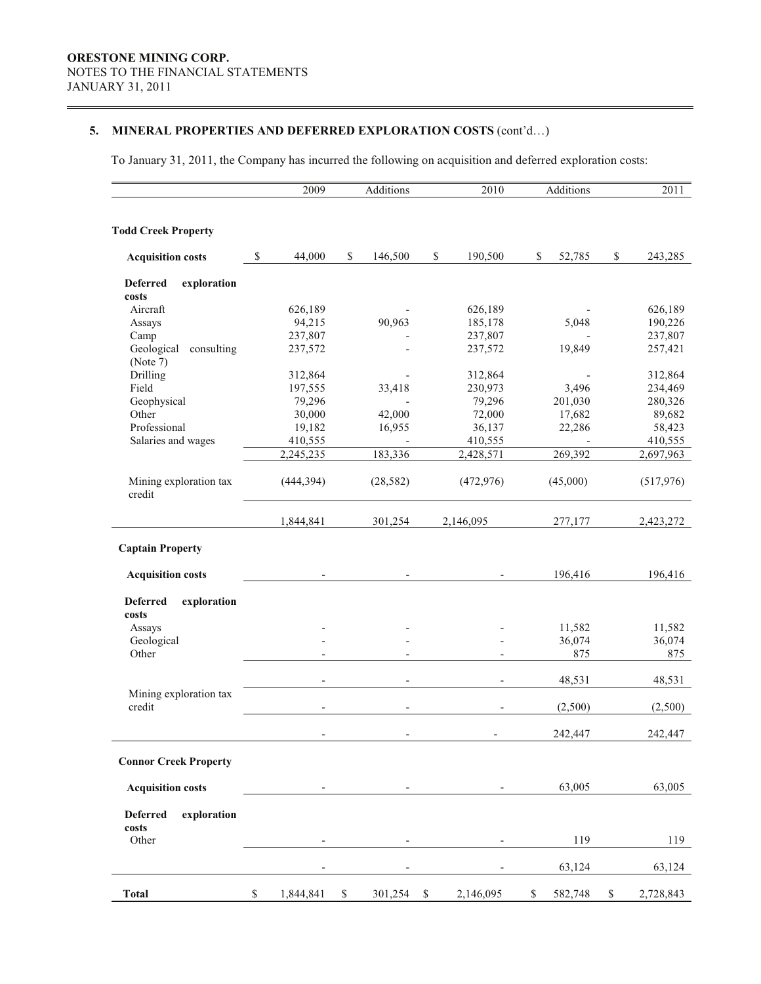# **5. MINERAL PROPERTIES AND DEFERRED EXPLORATION COSTS** (cont'd…)

To January 31, 2011, the Company has incurred the following on acquisition and deferred exploration costs:

|                                         |                                                                       | 2009                     |             | Additions                |              | 2010          | Additions                |             | 2011       |
|-----------------------------------------|-----------------------------------------------------------------------|--------------------------|-------------|--------------------------|--------------|---------------|--------------------------|-------------|------------|
|                                         |                                                                       |                          |             |                          |              |               |                          |             |            |
| <b>Todd Creek Property</b>              |                                                                       |                          |             |                          |              |               |                          |             |            |
|                                         |                                                                       |                          |             |                          |              |               |                          |             |            |
| <b>Acquisition costs</b>                | \$                                                                    | 44,000                   | \$          | 146,500                  |              | \$<br>190,500 | \$<br>52,785             | \$          | 243,285    |
| <b>Deferred</b><br>exploration          |                                                                       |                          |             |                          |              |               |                          |             |            |
| costs                                   |                                                                       |                          |             |                          |              |               |                          |             |            |
| Aircraft                                |                                                                       | 626,189                  |             |                          |              | 626,189       |                          |             | 626,189    |
| Assays                                  |                                                                       | 94,215                   |             | 90,963                   |              | 185,178       | 5,048                    |             | 190,226    |
| Camp                                    |                                                                       | 237,807                  |             |                          |              | 237,807       |                          |             | 237,807    |
| Geological<br>consulting                |                                                                       | 237,572                  |             |                          |              | 237,572       | 19,849                   |             | 257,421    |
| (Note 7)                                |                                                                       |                          |             |                          |              |               |                          |             |            |
| Drilling                                |                                                                       | 312,864                  |             |                          |              | 312,864       | $\overline{\phantom{a}}$ |             | 312,864    |
| Field                                   |                                                                       | 197,555                  |             | 33,418                   |              | 230,973       | 3,496                    |             | 234,469    |
| Geophysical                             |                                                                       | 79,296                   |             |                          |              | 79,296        | 201,030                  |             | 280,326    |
| Other                                   |                                                                       | 30,000                   |             | 42,000                   |              | 72,000        | 17,682                   |             | 89,682     |
| Professional                            |                                                                       | 19,182                   |             | 16,955                   |              | 36,137        | 22,286                   |             | 58,423     |
| Salaries and wages                      |                                                                       | 410,555                  |             |                          |              | 410,555       |                          |             | 410,555    |
|                                         |                                                                       | 2,245,235                |             | 183,336                  |              | 2,428,571     | 269,392                  |             | 2,697,963  |
| Mining exploration tax<br>credit        |                                                                       | (444, 394)               |             | (28, 582)                |              | (472, 976)    | (45,000)                 |             | (517, 976) |
|                                         |                                                                       | 1,844,841                |             | 301,254                  |              | 2,146,095     | 277,177                  |             | 2,423,272  |
| <b>Captain Property</b>                 |                                                                       |                          |             |                          |              |               |                          |             |            |
|                                         |                                                                       |                          |             |                          |              |               |                          |             |            |
| <b>Acquisition costs</b>                |                                                                       |                          |             |                          |              |               | 196,416                  |             | 196,416    |
| <b>Deferred</b><br>exploration          |                                                                       |                          |             |                          |              |               |                          |             |            |
| costs                                   |                                                                       |                          |             |                          |              |               |                          |             |            |
| Assays                                  |                                                                       |                          |             |                          |              |               | 11,582                   |             | 11,582     |
| Geological                              |                                                                       |                          |             |                          |              |               | 36,074                   |             | 36,074     |
| Other                                   |                                                                       |                          |             |                          |              |               | 875                      |             | 875        |
|                                         |                                                                       |                          |             |                          |              |               |                          |             |            |
|                                         |                                                                       | $\overline{\phantom{a}}$ |             | $\overline{\phantom{a}}$ |              |               | 48,531                   |             | 48,531     |
| Mining exploration tax                  |                                                                       |                          |             |                          |              |               |                          |             |            |
| credit                                  |                                                                       |                          |             |                          |              |               | (2,500)                  |             | (2,500)    |
|                                         |                                                                       |                          |             |                          |              |               |                          |             |            |
|                                         |                                                                       |                          |             |                          |              |               | 242,447                  |             | 242,447    |
|                                         |                                                                       |                          |             |                          |              |               |                          |             |            |
| <b>Connor Creek Property</b>            |                                                                       |                          |             |                          |              |               |                          |             |            |
|                                         |                                                                       |                          |             |                          |              |               |                          |             | 63,005     |
| <b>Acquisition costs</b>                |                                                                       |                          |             |                          |              |               | 63,005                   |             |            |
| <b>Deferred</b><br>exploration<br>costs |                                                                       |                          |             |                          |              |               |                          |             |            |
| Other                                   |                                                                       |                          |             |                          |              |               | 119                      |             | 119        |
|                                         |                                                                       |                          |             |                          |              |               | 63,124                   |             | 63,124     |
|                                         |                                                                       |                          |             |                          |              |               |                          |             |            |
| <b>Total</b>                            | $\mathbb{S}% _{t}\left( t\right) \equiv\mathbb{S}_{t}\left( t\right)$ | 1,844,841                | $\mathbb S$ | 301,254                  | $\mathbb{S}$ | 2,146,095     | \$<br>582,748            | $\mathbb S$ | 2,728,843  |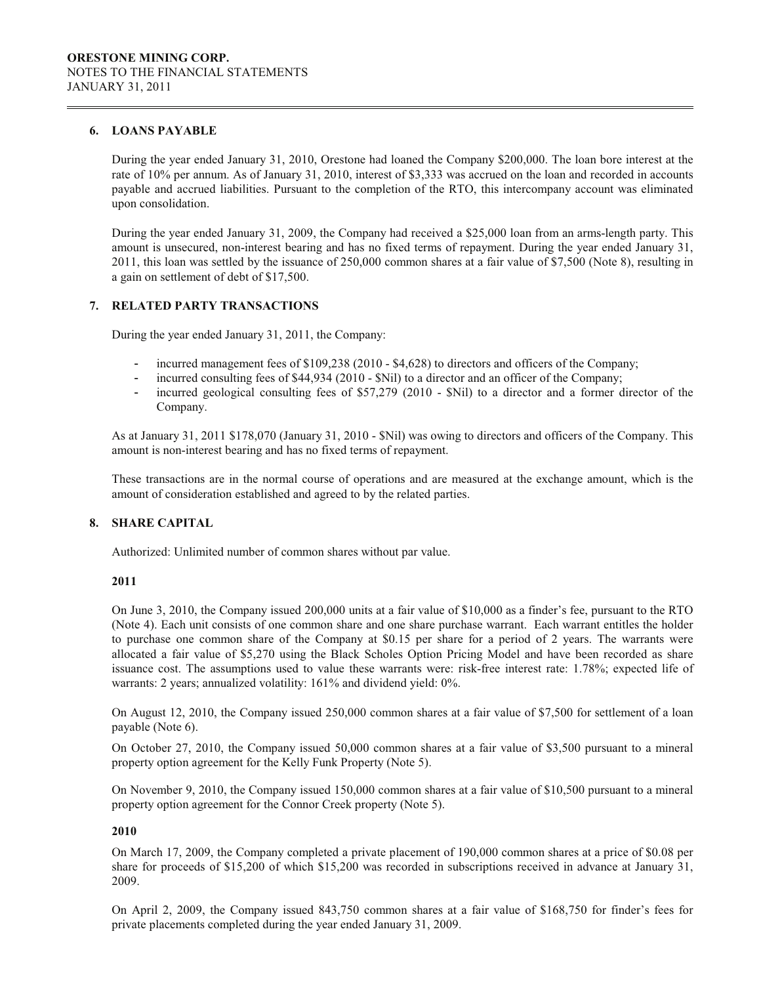### **6. LOANS PAYABLE**

During the year ended January 31, 2010, Orestone had loaned the Company \$200,000. The loan bore interest at the rate of 10% per annum. As of January 31, 2010, interest of \$3,333 was accrued on the loan and recorded in accounts payable and accrued liabilities. Pursuant to the completion of the RTO, this intercompany account was eliminated upon consolidation.

During the year ended January 31, 2009, the Company had received a \$25,000 loan from an arms-length party. This amount is unsecured, non-interest bearing and has no fixed terms of repayment. During the year ended January 31, 2011, this loan was settled by the issuance of 250,000 common shares at a fair value of \$7,500 (Note 8), resulting in a gain on settlement of debt of \$17,500.

### **7. RELATED PARTY TRANSACTIONS**

During the year ended January 31, 2011, the Company:

- incurred management fees of \$109,238 (2010 \$4,628) to directors and officers of the Company;
- incurred consulting fees of \$44,934 (2010 \$Nil) to a director and an officer of the Company;
- incurred geological consulting fees of \$57,279 (2010 \$Nil) to a director and a former director of the Company.

As at January 31, 2011 \$178,070 (January 31, 2010 - \$Nil) was owing to directors and officers of the Company. This amount is non-interest bearing and has no fixed terms of repayment.

These transactions are in the normal course of operations and are measured at the exchange amount, which is the amount of consideration established and agreed to by the related parties.

### **8. SHARE CAPITAL**

Authorized: Unlimited number of common shares without par value.

### **2011**

On June 3, 2010, the Company issued 200,000 units at a fair value of \$10,000 as a finder's fee, pursuant to the RTO (Note 4). Each unit consists of one common share and one share purchase warrant. Each warrant entitles the holder to purchase one common share of the Company at \$0.15 per share for a period of 2 years. The warrants were allocated a fair value of \$5,270 using the Black Scholes Option Pricing Model and have been recorded as share issuance cost. The assumptions used to value these warrants were: risk-free interest rate: 1.78%; expected life of warrants: 2 years; annualized volatility: 161% and dividend yield: 0%.

On August 12, 2010, the Company issued 250,000 common shares at a fair value of \$7,500 for settlement of a loan payable (Note 6).

On October 27, 2010, the Company issued 50,000 common shares at a fair value of \$3,500 pursuant to a mineral property option agreement for the Kelly Funk Property (Note 5).

On November 9, 2010, the Company issued 150,000 common shares at a fair value of \$10,500 pursuant to a mineral property option agreement for the Connor Creek property (Note 5).

#### **2010**

On March 17, 2009, the Company completed a private placement of 190,000 common shares at a price of \$0.08 per share for proceeds of \$15,200 of which \$15,200 was recorded in subscriptions received in advance at January 31, 2009.

On April 2, 2009, the Company issued 843,750 common shares at a fair value of \$168,750 for finder's fees for private placements completed during the year ended January 31, 2009.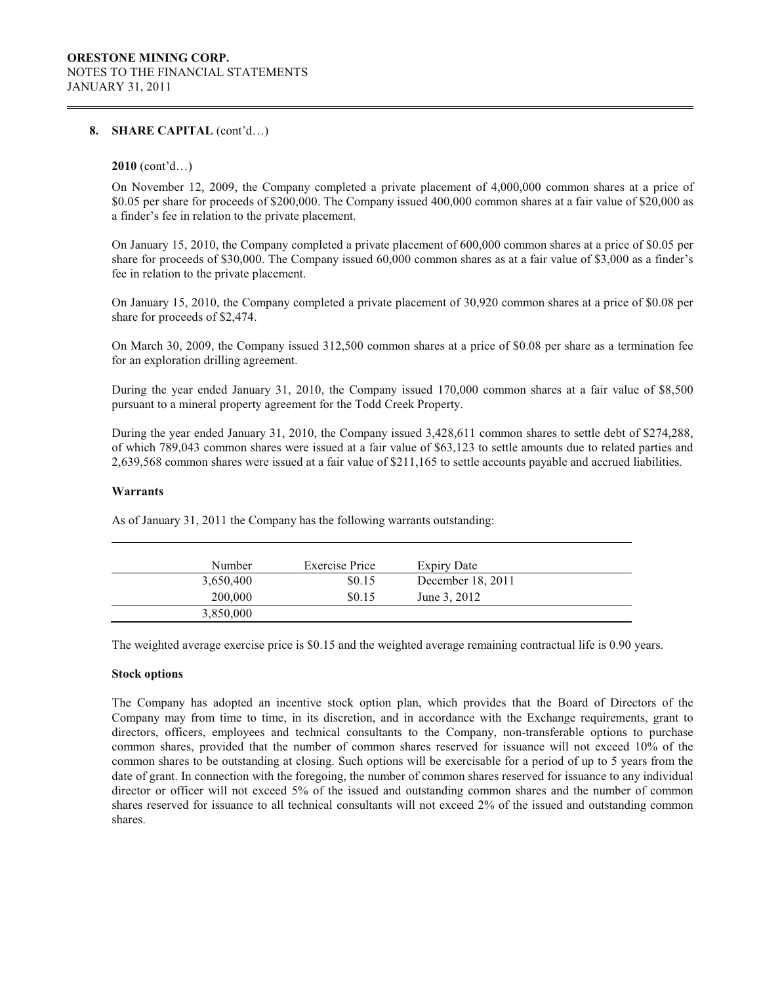### **8. SHARE CAPITAL** (cont'd…)

### **2010** (cont'd…)

On November 12, 2009, the Company completed a private placement of 4,000,000 common shares at a price of \$0.05 per share for proceeds of \$200,000. The Company issued 400,000 common shares at a fair value of \$20,000 as a finder's fee in relation to the private placement.

On January 15, 2010, the Company completed a private placement of 600,000 common shares at a price of \$0.05 per share for proceeds of \$30,000. The Company issued 60,000 common shares as at a fair value of \$3,000 as a finder's fee in relation to the private placement.

On January 15, 2010, the Company completed a private placement of 30,920 common shares at a price of \$0.08 per share for proceeds of \$2,474.

On March 30, 2009, the Company issued 312,500 common shares at a price of \$0.08 per share as a termination fee for an exploration drilling agreement.

During the year ended January 31, 2010, the Company issued 170,000 common shares at a fair value of \$8,500 pursuant to a mineral property agreement for the Todd Creek Property.

During the year ended January 31, 2010, the Company issued 3,428,611 common shares to settle debt of \$274,288, of which 789,043 common shares were issued at a fair value of \$63,123 to settle amounts due to related parties and 2,639,568 common shares were issued at a fair value of \$211,165 to settle accounts payable and accrued liabilities.

#### **Warrants**

| Number    | <b>Exercise Price</b> | Expiry Date       |  |
|-----------|-----------------------|-------------------|--|
| 3,650,400 | \$0.15                | December 18, 2011 |  |
| 200,000   | \$0.15                | June 3, 2012      |  |
| 3,850,000 |                       |                   |  |

As of January 31, 2011 the Company has the following warrants outstanding:

The weighted average exercise price is \$0.15 and the weighted average remaining contractual life is 0.90 years.

#### **Stock options**

The Company has adopted an incentive stock option plan, which provides that the Board of Directors of the Company may from time to time, in its discretion, and in accordance with the Exchange requirements, grant to directors, officers, employees and technical consultants to the Company, non-transferable options to purchase common shares, provided that the number of common shares reserved for issuance will not exceed 10% of the common shares to be outstanding at closing. Such options will be exercisable for a period of up to 5 years from the date of grant. In connection with the foregoing, the number of common shares reserved for issuance to any individual director or officer will not exceed 5% of the issued and outstanding common shares and the number of common shares reserved for issuance to all technical consultants will not exceed 2% of the issued and outstanding common shares.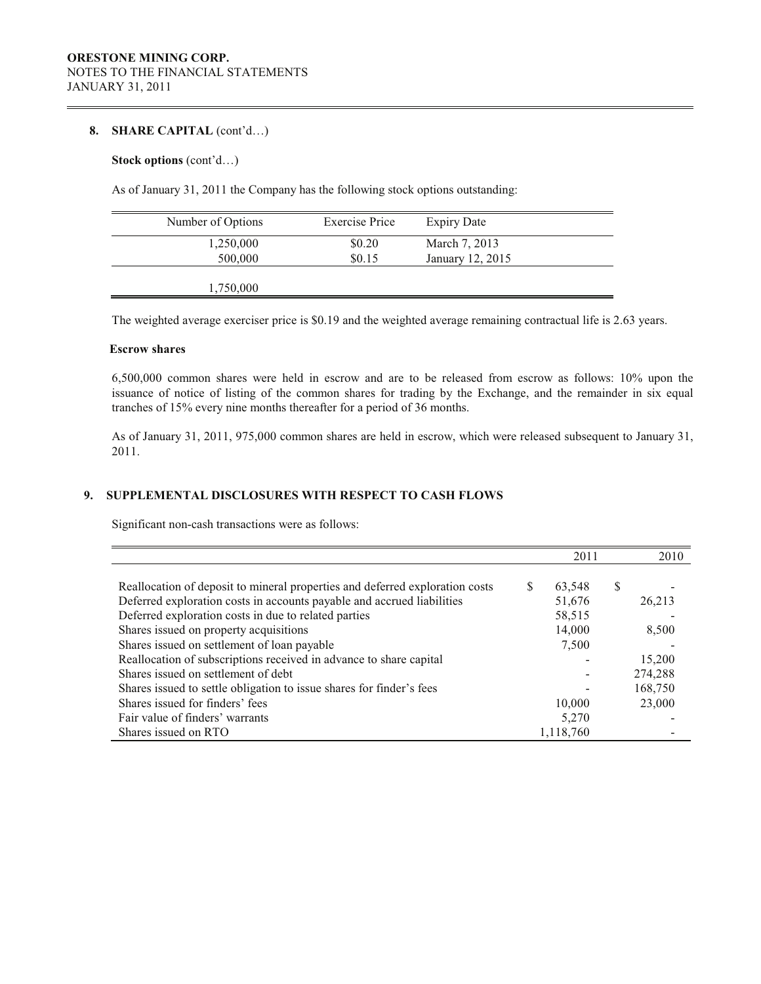### 8. **SHARE CAPITAL** (cont'd...)

### **Stock options** (cont'd…)

As of January 31, 2011 the Company has the following stock options outstanding:

| Number of Options | <b>Exercise Price</b> | <b>Expiry Date</b> |  |
|-------------------|-----------------------|--------------------|--|
| 1,250,000         | \$0.20                | March 7, 2013      |  |
| 500,000           | \$0.15                | January 12, 2015   |  |
| 1,750,000         |                       |                    |  |

The weighted average exerciser price is \$0.19 and the weighted average remaining contractual life is 2.63 years.

# **Escrow shares**

6,500,000 common shares were held in escrow and are to be released from escrow as follows: 10% upon the issuance of notice of listing of the common shares for trading by the Exchange, and the remainder in six equal tranches of 15% every nine months thereafter for a period of 36 months.

As of January 31, 2011, 975,000 common shares are held in escrow, which were released subsequent to January 31, 2011.

# **9. SUPPLEMENTAL DISCLOSURES WITH RESPECT TO CASH FLOWS**

Significant non-cash transactions were as follows:

|                                                                              |   | 2011      |   | 2010    |
|------------------------------------------------------------------------------|---|-----------|---|---------|
|                                                                              |   |           |   |         |
| Reallocation of deposit to mineral properties and deferred exploration costs | S | 63,548    | S |         |
| Deferred exploration costs in accounts payable and accrued liabilities       |   | 51,676    |   | 26,213  |
| Deferred exploration costs in due to related parties                         |   | 58,515    |   |         |
| Shares issued on property acquisitions                                       |   | 14,000    |   | 8,500   |
| Shares issued on settlement of loan payable                                  |   | 7,500     |   |         |
| Reallocation of subscriptions received in advance to share capital           |   |           |   | 15,200  |
| Shares issued on settlement of debt                                          |   |           |   | 274,288 |
| Shares issued to settle obligation to issue shares for finder's fees         |   |           |   | 168,750 |
| Shares issued for finders' fees                                              |   | 10,000    |   | 23,000  |
| Fair value of finders' warrants                                              |   | 5,270     |   |         |
| Shares issued on RTO                                                         |   | 1,118,760 |   |         |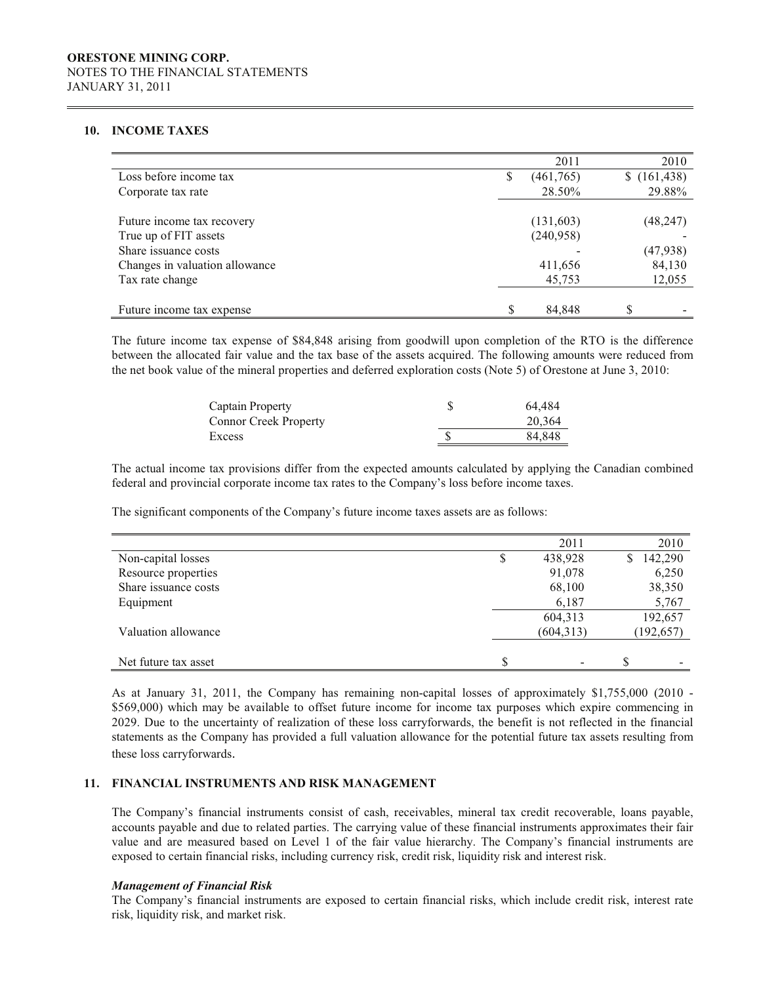### **10. INCOME TAXES**

|                                                        |                        | 2011<br>2010        |
|--------------------------------------------------------|------------------------|---------------------|
| Loss before income tax                                 | (461,765)<br>S         | (161, 438)<br>S.    |
| Corporate tax rate                                     | 28.50%                 | 29.88%              |
| Future income tax recovery<br>True up of FIT assets    | (131,603)<br>(240,958) | (48, 247)           |
| Share issuance costs<br>Changes in valuation allowance | 411,656                | (47, 938)<br>84,130 |
| Tax rate change                                        | 45,753                 | 12,055              |
| Future income tax expense                              | 84,848                 | \$                  |

The future income tax expense of \$84,848 arising from goodwill upon completion of the RTO is the difference between the allocated fair value and the tax base of the assets acquired. The following amounts were reduced from the net book value of the mineral properties and deferred exploration costs (Note 5) of Orestone at June 3, 2010:

| Captain Property             | 64.484 |
|------------------------------|--------|
| <b>Connor Creek Property</b> | 20,364 |
| Excess                       | 84,848 |

The actual income tax provisions differ from the expected amounts calculated by applying the Canadian combined federal and provincial corporate income tax rates to the Company's loss before income taxes.

The significant components of the Company's future income taxes assets are as follows:

|                      | 2011                 | 2010          |
|----------------------|----------------------|---------------|
| Non-capital losses   | \$<br>438,928        | 142,290<br>\$ |
| Resource properties  | 91,078               | 6,250         |
| Share issuance costs | 68,100               | 38,350        |
| Equipment            | 6,187                | 5,767         |
|                      | 604,313              | 192,657       |
| Valuation allowance  | (604,313)            | (192, 657)    |
|                      |                      |               |
| Net future tax asset | \$<br>$\blacksquare$ | \$            |

As at January 31, 2011, the Company has remaining non-capital losses of approximately \$1,755,000 (2010 - \$569,000) which may be available to offset future income for income tax purposes which expire commencing in 2029. Due to the uncertainty of realization of these loss carryforwards, the benefit is not reflected in the financial statements as the Company has provided a full valuation allowance for the potential future tax assets resulting from these loss carryforwards.

#### **11. FINANCIAL INSTRUMENTS AND RISK MANAGEMENT**

The Company's financial instruments consist of cash, receivables, mineral tax credit recoverable, loans payable, accounts payable and due to related parties. The carrying value of these financial instruments approximates their fair value and are measured based on Level 1 of the fair value hierarchy. The Company's financial instruments are exposed to certain financial risks, including currency risk, credit risk, liquidity risk and interest risk.

#### *Management of Financial Risk*

The Company's financial instruments are exposed to certain financial risks, which include credit risk, interest rate risk, liquidity risk, and market risk.